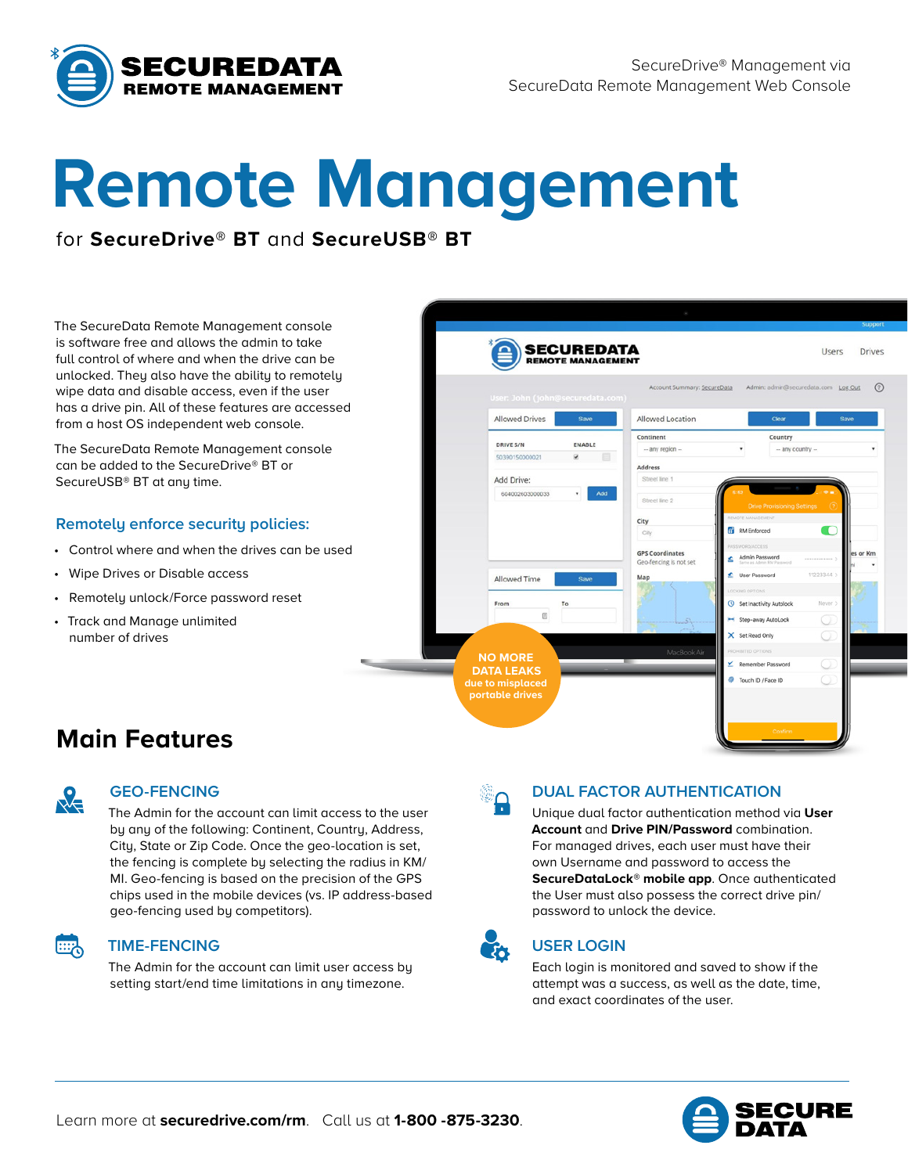

# **Remote Management**

## for **SecureDrive® BT** and **SecureUSB® BT**

The SecureData Remote Management console is software free and allows the admin to take full control of where and when the drive can be unlocked. They also have the ability to remotely wipe data and disable access, even if the user has a drive pin. All of these features are accessed from a host OS independent web console.

The SecureData Remote Management console can be added to the SecureDrive® BT or SecureUSB® BT at any time.

#### **Remotely enforce security policies:**

- Control where and when the drives can be used
- Wipe Drives or Disable access
- Remotely unlock/Force password reset
- Track and Manage unlimited number of drives



# **Main Features**



霊

#### **GEO-FENCING**

The Admin for the account can limit access to the user by any of the following: Continent, Country, Address, City, State or Zip Code. Once the geo-location is set, the fencing is complete by selecting the radius in KM/ MI. Geo-fencing is based on the precision of the GPS chips used in the mobile devices (vs. IP address-based geo-fencing used by competitors).

#### **TIME-FENCING**

The Admin for the account can limit user access by setting start/end time limitations in any timezone.

#### **DUAL FACTOR AUTHENTICATION**

Unique dual factor authentication method via **User Account** and **Drive PIN/Password** combination. For managed drives, each user must have their own Username and password to access the **SecureDataLock® mobile app**. Once authenticated the User must also possess the correct drive pin/ password to unlock the device.



### **USER LOGIN**

Each login is monitored and saved to show if the attempt was a success, as well as the date, time, and exact coordinates of the user.